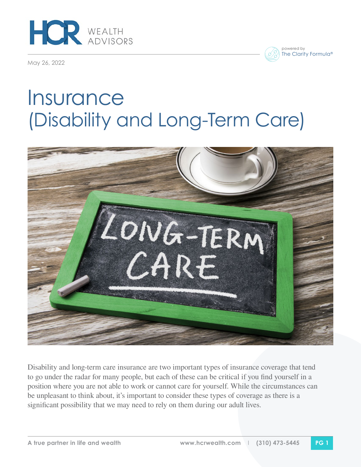

May 26, 2022



## **Insurance** (Disability and Long-Term Care)



Disability and long-term care insurance are two important types of insurance coverage that tend to go under the radar for many people, but each of these can be critical if you find yourself in a position where you are not able to work or cannot care for yourself. While the circumstances can be unpleasant to think about, it's important to consider these types of coverage as there is a significant possibility that we may need to rely on them during our adult lives.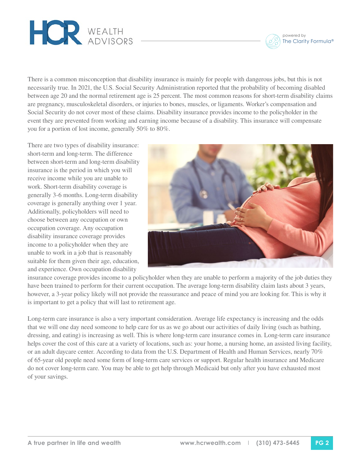

powered by The Clarity Formula®

There is a common misconception that disability insurance is mainly for people with dangerous jobs, but this is not necessarily true. In 2021, the U.S. Social Security Administration reported that the probability of becoming disabled between age 20 and the normal retirement age is 25 percent. The most common reasons for short-term disability claims are pregnancy, musculoskeletal disorders, or injuries to bones, muscles, or ligaments. Worker's compensation and Social Security do not cover most of these claims. Disability insurance provides income to the policyholder in the event they are prevented from working and earning income because of a disability. This insurance will compensate you for a portion of lost income, generally 50% to 80%.

There are two types of disability insurance: short-term and long-term. The difference between short-term and long-term disability insurance is the period in which you will receive income while you are unable to work. Short-term disability coverage is generally 3-6 months. Long-term disability coverage is generally anything over 1 year. Additionally, policyholders will need to choose between any occupation or own occupation coverage. Any occupation disability insurance coverage provides income to a policyholder when they are unable to work in a job that is reasonably suitable for them given their age, education, and experience. Own occupation disability



insurance coverage provides income to a policyholder when they are unable to perform a majority of the job duties they have been trained to perform for their current occupation. The average long-term disability claim lasts about 3 years, however, a 3-year policy likely will not provide the reassurance and peace of mind you are looking for. This is why it is important to get a policy that will last to retirement age.

Long-term care insurance is also a very important consideration. Average life expectancy is increasing and the odds that we will one day need someone to help care for us as we go about our activities of daily living (such as bathing, dressing, and eating) is increasing as well. This is where long-term care insurance comes in. Long-term care insurance helps cover the cost of this care at a variety of locations, such as: your home, a nursing home, an assisted living facility, or an adult daycare center. According to data from the U.S. Department of Health and Human Services, nearly 70% of 65-year old people need some form of long-term care services or support. Regular health insurance and Medicare do not cover long-term care. You may be able to get help through Medicaid but only after you have exhausted most of your savings.